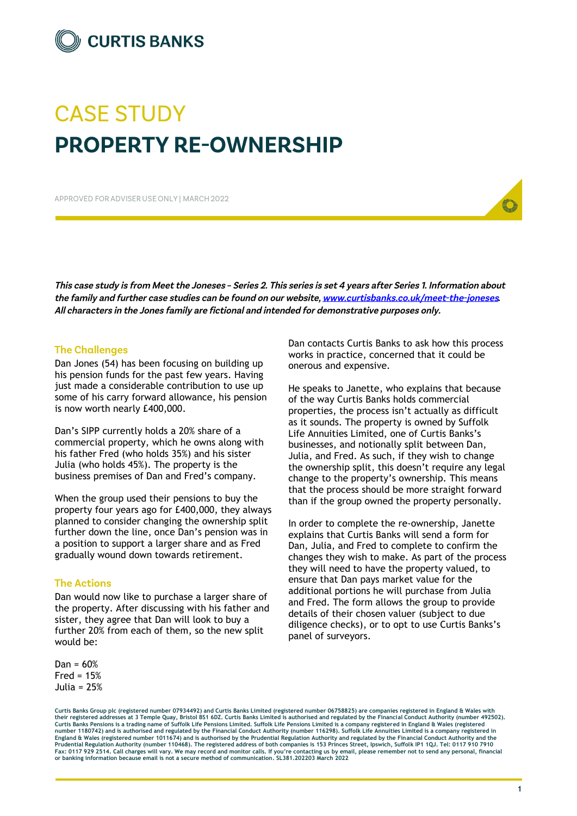

# **CASE STUDY PROPERTY RE-OWNERSHIP**

APPROVED FOR ADVISER USE ONLY I MARCH 2022

This case study is from Meet the Joneses - Series 2. This series is set 4 years after Series 1. Information about the family and further case studies can be found on our website, www.curtisbanks.co.uk/meet-the-joneses. All characters in the Jones family are fictional and intended for demonstrative purposes only.

## **The Challenges**

Dan Jones (54) has been focusing on building up his pension funds for the past few years. Having just made a considerable contribution to use up some of his carry forward allowance, his pension is now worth nearly £400,000.

Dan's SIPP currently holds a 20% share of a commercial property, which he owns along with his father Fred (who holds 35%) and his sister Julia (who holds 45%). The property is the business premises of Dan and Fred's company.

When the group used their pensions to buy the property four years ago for £400,000, they always planned to consider changing the ownership split further down the line, once Dan's pension was in a position to support a larger share and as Fred gradually wound down towards retirement.

## **The Actions**

Dan would now like to purchase a larger share of the property. After discussing with his father and sister, they agree that Dan will look to buy a further 20% from each of them, so the new split would be:

 $Dan = 60%$  $Fred = 15%$ Julia = 25% Dan contacts Curtis Banks to ask how this process works in practice, concerned that it could be onerous and expensive.

He speaks to Janette, who explains that because of the way Curtis Banks holds commercial properties, the process isn't actually as difficult as it sounds. The property is owned by Suffolk Life Annuities Limited, one of Curtis Banks's businesses, and notionally split between Dan, Julia, and Fred. As such, if they wish to change the ownership split, this doesn't require any legal change to the property's ownership. This means that the process should be more straight forward than if the group owned the property personally.

In order to complete the re-ownership, Janette explains that Curtis Banks will send a form for Dan, Julia, and Fred to complete to confirm the changes they wish to make. As part of the process they will need to have the property valued, to ensure that Dan pays market value for the additional portions he will purchase from Julia and Fred. The form allows the group to provide details of their chosen valuer (subject to due diligence checks), or to opt to use Curtis Banks's panel of surveyors.

**Curtis Banks Group plc (registered number 07934492) and Curtis Banks Limited (registered number 06758825) are companies registered in England & Wales with their registered addresses at 3 Temple Quay, Bristol BS1 6DZ. Curtis Banks Limited is authorised and regulated by the Financial Conduct Authority (number 492502).**  Curtis Banks Pensions is a trading name of Suffolk Life Pensions Limited. Suffolk Life Pensions Limited is a company registered in England & Wales (registered<br>number 1180742) and is authorised and regulated by the Financia **Prudential Regulation Authority (number 110468). The registered address of both companies is 153 Princes Street, Ipswich, Suffolk IP1 1QJ. Tel: 0117 910 7910 Fax: 0117 929 2514. Call charges will vary. We may record and monitor calls. If you're contacting us by email, please remember not to send any personal, financial or banking information because email is not a secure method of communication. SL381.202203 March 2022**